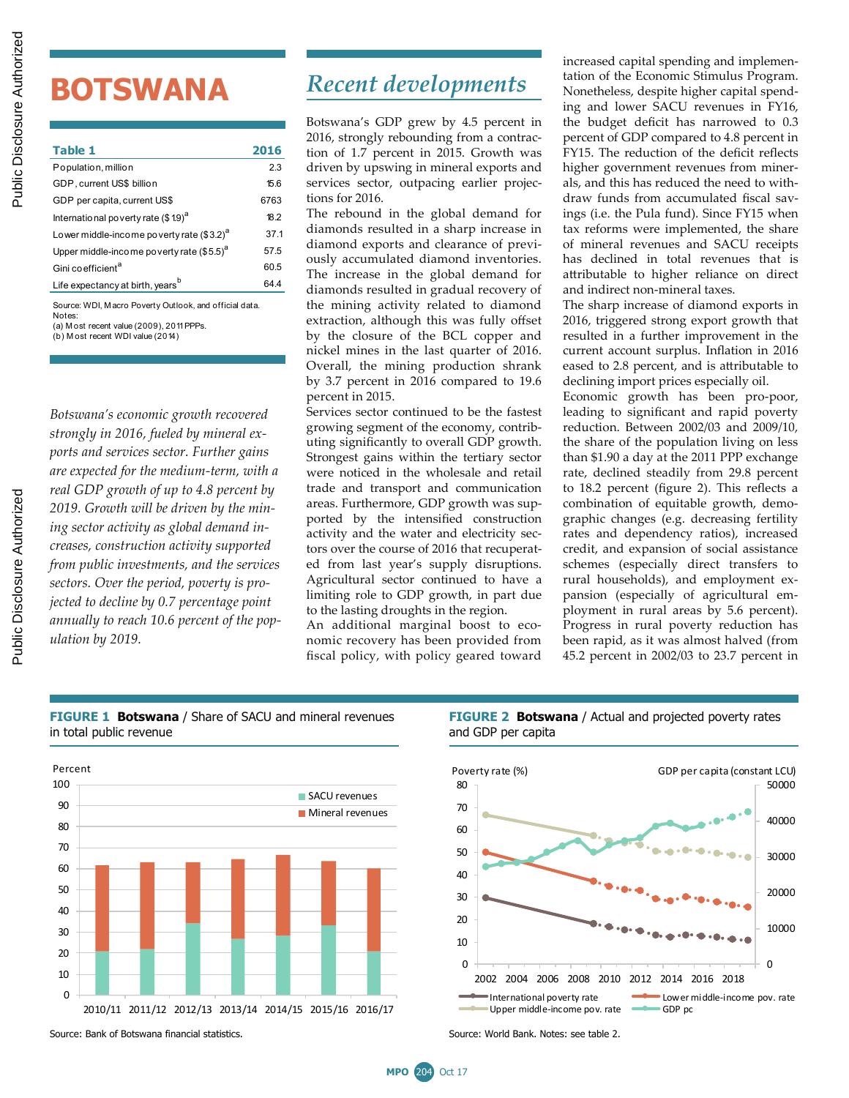# **BOTSWANA**

| Table 1                                               | 2016 |
|-------------------------------------------------------|------|
| Population, million                                   | 2.3  |
| GDP, current US\$ billion                             | 15.6 |
| GDP per capita, current US\$                          | 6763 |
| International poverty rate (\$19) <sup>a</sup>        | 18.2 |
| Lower middle-income poverty rate (\$3.2) <sup>a</sup> | 37.1 |
| Upper middle-income poverty rate (\$5.5) <sup>a</sup> | 57.5 |
| Gini co efficient <sup>a</sup>                        | 60.5 |
| Life expectancy at birth, years <sup>b</sup>          | 64.4 |
| Course WDLMosse Doverty Outlook, and official data    |      |

(a) M ost recent value (2009), 2011 PPPs. WDI, M acro Poverty Notes:

(b) M ost recent WDI value (2014)

*Botswana's economic growth recovered strongly in 2016, fueled by mineral exports and services sector. Further gains are expected for the medium-term, with a real GDP growth of up to 4.8 percent by 2019. Growth will be driven by the mining sector activity as global demand increases, construction activity supported from public investments, and the services sectors. Over the period, poverty is projected to decline by 0.7 percentage point annually to reach 10.6 percent of the population by 2019.*

# *Recent developments*

Botswana's GDP grew by 4.5 percent in 2016, strongly rebounding from a contraction of 1.7 percent in 2015. Growth was driven by upswing in mineral exports and services sector, outpacing earlier projections for 2016.

The rebound in the global demand for diamonds resulted in a sharp increase in diamond exports and clearance of previously accumulated diamond inventories. The increase in the global demand for diamonds resulted in gradual recovery of the mining activity related to diamond extraction, although this was fully offset by the closure of the BCL copper and nickel mines in the last quarter of 2016. Overall, the mining production shrank by 3.7 percent in 2016 compared to 19.6 percent in 2015.

Services sector continued to be the fastest growing segment of the economy, contributing significantly to overall GDP growth. Strongest gains within the tertiary sector were noticed in the wholesale and retail trade and transport and communication areas. Furthermore, GDP growth was supported by the intensified construction activity and the water and electricity sectors over the course of 2016 that recuperated from last year's supply disruptions. Agricultural sector continued to have a limiting role to GDP growth, in part due to the lasting droughts in the region.

An additional marginal boost to economic recovery has been provided from fiscal policy, with policy geared toward increased capital spending and implementation of the Economic Stimulus Program. Nonetheless, despite higher capital spending and lower SACU revenues in FY16, the budget deficit has narrowed to 0.3 percent of GDP compared to 4.8 percent in FY15. The reduction of the deficit reflects higher government revenues from minerals, and this has reduced the need to withdraw funds from accumulated fiscal savings (i.e. the Pula fund). Since FY15 when tax reforms were implemented, the share of mineral revenues and SACU receipts has declined in total revenues that is attributable to higher reliance on direct and indirect non-mineral taxes.

The sharp increase of diamond exports in 2016, triggered strong export growth that resulted in a further improvement in the current account surplus. Inflation in 2016 eased to 2.8 percent, and is attributable to declining import prices especially oil.

Economic growth has been pro-poor, leading to significant and rapid poverty reduction. Between 2002/03 and 2009/10, the share of the population living on less than \$1.90 a day at the 2011 PPP exchange rate, declined steadily from 29.8 percent to 18.2 percent (figure 2). This reflects a combination of equitable growth, demographic changes (e.g. decreasing fertility rates and dependency ratios), increased credit, and expansion of social assistance schemes (especially direct transfers to rural households), and employment expansion (especially of agricultural employment in rural areas by 5.6 percent). Progress in rural poverty reduction has been rapid, as it was almost halved (from 45.2 percent in 2002/03 to 23.7 percent in

#### **FIGURE 1 Botswana** / Share of SACU and mineral revenues in total public revenue



**FIGURE 2 Botswana** / Actual and projected poverty rates and GDP per capita



Source: Bank of Botswana financial statistics. Source: World Bank. Notes: see table 2.